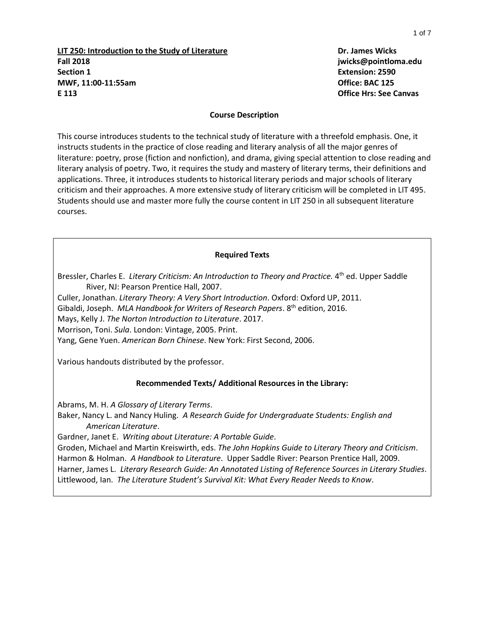**LIT 250: Introduction to the Study of Literature Dr. James Wicks Fall 2018 jwicks@pointloma.edu Section 1 Extension: 2590 MWF, 11:00-11:55am Office: BAC 125 E 113 Office Hrs: See Canvas**

#### **Course Description**

This course introduces students to the technical study of literature with a threefold emphasis. One, it instructs students in the practice of close reading and literary analysis of all the major genres of literature: poetry, prose (fiction and nonfiction), and drama, giving special attention to close reading and literary analysis of poetry. Two, it requires the study and mastery of literary terms, their definitions and applications. Three, it introduces students to historical literary periods and major schools of literary criticism and their approaches. A more extensive study of literary criticism will be completed in LIT 495. Students should use and master more fully the course content in LIT 250 in all subsequent literature courses.

#### **Required Texts**

Bressler, Charles E. Literary Criticism: An Introduction to Theory and Practice. 4<sup>th</sup> ed. Upper Saddle River, NJ: Pearson Prentice Hall, 2007.

Culler, Jonathan. *Literary Theory: A Very Short Introduction*. Oxford: Oxford UP, 2011.

Gibaldi, Joseph. MLA Handbook for Writers of Research Papers. 8<sup>th</sup> edition, 2016.

Mays, Kelly J. *The Norton Introduction to Literature*. 2017.

Morrison, Toni. *Sula*. London: Vintage, 2005. Print.

Yang, Gene Yuen. *American Born Chinese*. New York: First Second, 2006.

Various handouts distributed by the professor.

### **Recommended Texts/ Additional Resources in the Library:**

Abrams, M. H. *A Glossary of Literary Terms*.

Baker, Nancy L. and Nancy Huling. *A Research Guide for Undergraduate Students: English and American Literature*.

Gardner, Janet E. *Writing about Literature: A Portable Guide*.

Groden, Michael and Martin Kreiswirth, eds. *The John Hopkins Guide to Literary Theory and Criticism*. Harmon & Holman. *A Handbook to Literature*. Upper Saddle River: Pearson Prentice Hall, 2009. Harner, James L. *Literary Research Guide: An Annotated Listing of Reference Sources in Literary Studies*. Littlewood, Ian. *The Literature Student's Survival Kit: What Every Reader Needs to Know*.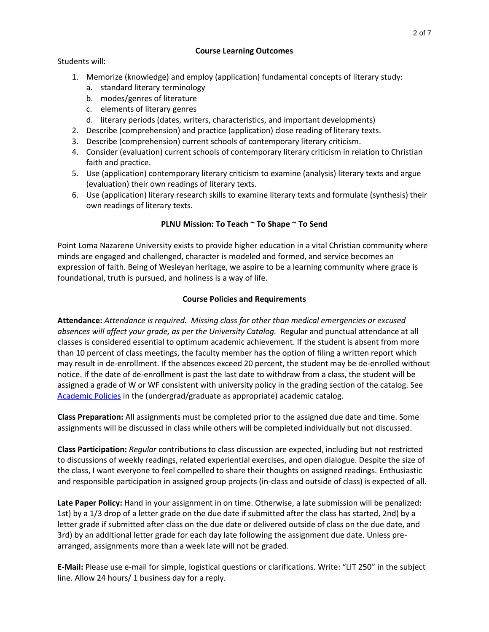# **Course Learning Outcomes**

Students will:

- 1. Memorize (knowledge) and employ (application) fundamental concepts of literary study:
	- a. standard literary terminology
	- b. modes/genres of literature
	- c. elements of literary genres
	- d. literary periods (dates, writers, characteristics, and important developments)
- 2. Describe (comprehension) and practice (application) close reading of literary texts.
- 3. Describe (comprehension) current schools of contemporary literary criticism.
- 4. Consider (evaluation) current schools of contemporary literary criticism in relation to Christian faith and practice.
- 5. Use (application) contemporary literary criticism to examine (analysis) literary texts and argue (evaluation) their own readings of literary texts.
- 6. Use (application) literary research skills to examine literary texts and formulate (synthesis) their own readings of literary texts.

# **PLNU Mission: To Teach ~ To Shape ~ To Send**

Point Loma Nazarene University exists to provide higher education in a vital Christian community where minds are engaged and challenged, character is modeled and formed, and service becomes an expression of faith. Being of Wesleyan heritage, we aspire to be a learning community where grace is foundational, truth is pursued, and holiness is a way of life.

# **Course Policies and Requirements**

**Attendance:** *Attendance is required. Missing class for other than medical emergencies or excused absences will affect your grade, as per the University Catalog.* Regular and punctual attendance at all classes is considered essential to optimum academic achievement. If the student is absent from more than 10 percent of class meetings, the faculty member has the option of filing a written report which may result in de-enrollment. If the absences exceed 20 percent, the student may be de-enrolled without notice. If the date of de-enrollment is past the last date to withdraw from a class, the student will be assigned a grade of W or WF consistent with university policy in the grading section of the catalog. See [Academic Policies](http://catalog.pointloma.edu/content.php?catoid=24&navoid=1581) in the (undergrad/graduate as appropriate) academic catalog.

**Class Preparation:** All assignments must be completed prior to the assigned due date and time. Some assignments will be discussed in class while others will be completed individually but not discussed.

**Class Participation:** *Regular* contributions to class discussion are expected, including but not restricted to discussions of weekly readings, related experiential exercises, and open dialogue. Despite the size of the class, I want everyone to feel compelled to share their thoughts on assigned readings. Enthusiastic and responsible participation in assigned group projects (in-class and outside of class) is expected of all.

**Late Paper Policy:** Hand in your assignment in on time. Otherwise, a late submission will be penalized: 1st) by a 1/3 drop of a letter grade on the due date if submitted after the class has started, 2nd) by a letter grade if submitted after class on the due date or delivered outside of class on the due date, and 3rd) by an additional letter grade for each day late following the assignment due date. Unless prearranged, assignments more than a week late will not be graded.

**E-Mail:** Please use e-mail for simple, logistical questions or clarifications. Write: "LIT 250" in the subject line. Allow 24 hours/ 1 business day for a reply.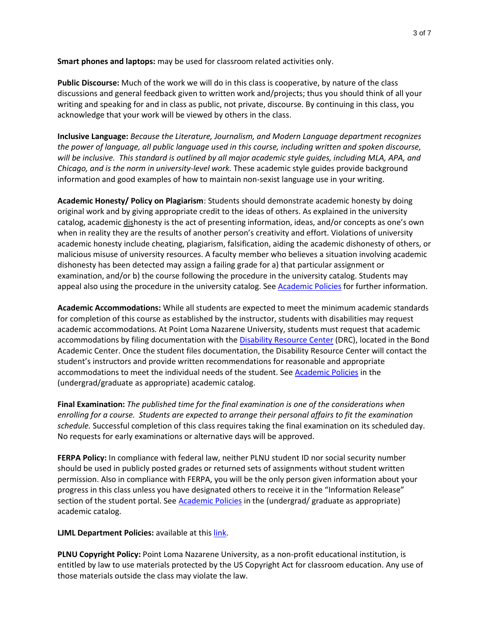**Smart phones and laptops:** may be used for classroom related activities only.

**Public Discourse:** Much of the work we will do in this class is cooperative, by nature of the class discussions and general feedback given to written work and/projects; thus you should think of all your writing and speaking for and in class as public, not private, discourse. By continuing in this class, you acknowledge that your work will be viewed by others in the class.

**Inclusive Language:** *Because the Literature, Journalism, and Modern Language department recognizes the power of language, all public language used in this course, including written and spoken discourse, will be inclusive. This standard is outlined by all major academic style guides, including MLA, APA, and Chicago, and is the norm in university-level work.* These academic style guides provide background information and good examples of how to maintain non-sexist language use in your writing.

**Academic Honesty/ Policy on Plagiarism**: Students should demonstrate academic honesty by doing original work and by giving appropriate credit to the ideas of others. As explained in the university catalog, academic dishonesty is the act of presenting information, ideas, and/or concepts as one's own when in reality they are the results of another person's creativity and effort. Violations of university academic honesty include cheating, plagiarism, falsification, aiding the academic dishonesty of others, or malicious misuse of university resources. A faculty member who believes a situation involving academic dishonesty has been detected may assign a failing grade for a) that particular assignment or examination, and/or b) the course following the procedure in the university catalog. Students may appeal also using the procedure in the university catalog. See [Academic Policies](http://catalog.pointloma.edu/content.php?catoid=24&navoid=1581) for further information.

**Academic Accommodations:** While all students are expected to meet the minimum academic standards for completion of this course as established by the instructor, students with disabilities may request academic accommodations. At Point Loma Nazarene University, students must request that academic accommodations by filing documentation with the **Disability Resource Center** (DRC), located in the Bond Academic Center. Once the student files documentation, the Disability Resource Center will contact the student's instructors and provide written recommendations for reasonable and appropriate accommodations to meet the individual needs of the student. See [Academic Policies](http://catalog.pointloma.edu/content.php?catoid=24&navoid=1581) in the (undergrad/graduate as appropriate) academic catalog.

**Final Examination:** *The published time for the final examination is one of the considerations when enrolling for a course. Students are expected to arrange their personal affairs to fit the examination schedule.* Successful completion of this class requires taking the final examination on its scheduled day. No requests for early examinations or alternative days will be approved.

**FERPA Policy:** In compliance with federal law, neither PLNU student ID nor social security number should be used in publicly posted grades or returned sets of assignments without student written permission. Also in compliance with FERPA, you will be the only person given information about your progress in this class unless you have designated others to receive it in the "Information Release" section of the student portal. See [Academic Policies](http://catalog.pointloma.edu/content.php?catoid=24&navoid=1581) in the (undergrad/ graduate as appropriate) academic catalog.

**LJML Department Policies: available at thi[s link.](http://www.pointloma.edu/sites/default/files/filemanager/Literature_Journalism__Modern_Languages/LJML_Department_Syllabus_Statments_final_2016-17.pdf)** 

**PLNU Copyright Policy:** Point Loma Nazarene University, as a non-profit educational institution, is entitled by law to use materials protected by the US Copyright Act for classroom education. Any use of those materials outside the class may violate the law.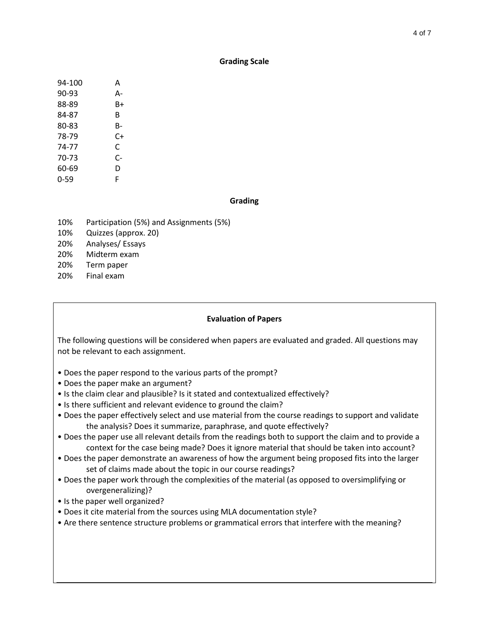### **Grading Scale**

| 94-100 | А  |
|--------|----|
| 90-93  | А- |
| 88-89  | B+ |
| 84-87  | R  |
| 80-83  | B- |
| 78-79  | C+ |
| 74-77  | C  |
| 70-73  | C- |
| 60-69  | D  |
| 0-59   | F  |

### **Grading**

- 10% Participation (5%) and Assignments (5%)
- 10% Quizzes (approx. 20)
- 20% Analyses/ Essays
- 20% Midterm exam
- 20% Term paper
- 20% Final exam

### **Evaluation of Papers**

The following questions will be considered when papers are evaluated and graded. All questions may not be relevant to each assignment.

- Does the paper respond to the various parts of the prompt?
- Does the paper make an argument?
- Is the claim clear and plausible? Is it stated and contextualized effectively?
- Is there sufficient and relevant evidence to ground the claim?
- Does the paper effectively select and use material from the course readings to support and validate the analysis? Does it summarize, paraphrase, and quote effectively?
- Does the paper use all relevant details from the readings both to support the claim and to provide a context for the case being made? Does it ignore material that should be taken into account?
- Does the paper demonstrate an awareness of how the argument being proposed fits into the larger set of claims made about the topic in our course readings?
- Does the paper work through the complexities of the material (as opposed to oversimplifying or overgeneralizing)?
- Is the paper well organized?
- Does it cite material from the sources using MLA documentation style?
- Are there sentence structure problems or grammatical errors that interfere with the meaning?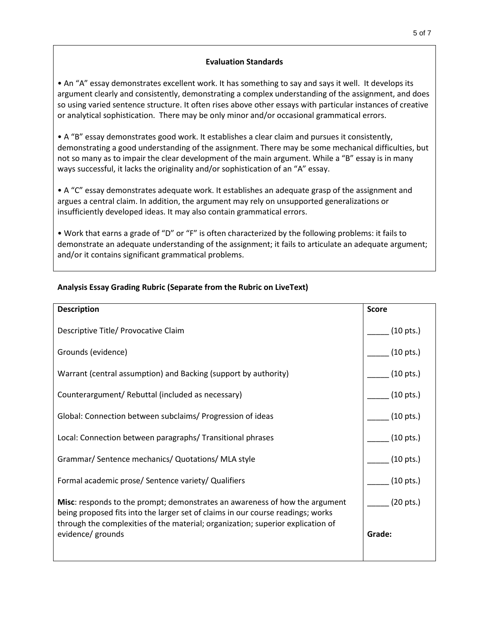## **Evaluation Standards**

• An "A" essay demonstrates excellent work. It has something to say and says it well. It develops its argument clearly and consistently, demonstrating a complex understanding of the assignment, and does so using varied sentence structure. It often rises above other essays with particular instances of creative or analytical sophistication. There may be only minor and/or occasional grammatical errors.

• A "B" essay demonstrates good work. It establishes a clear claim and pursues it consistently, demonstrating a good understanding of the assignment. There may be some mechanical difficulties, but not so many as to impair the clear development of the main argument. While a "B" essay is in many ways successful, it lacks the originality and/or sophistication of an "A" essay.

• A "C" essay demonstrates adequate work. It establishes an adequate grasp of the assignment and argues a central claim. In addition, the argument may rely on unsupported generalizations or insufficiently developed ideas. It may also contain grammatical errors.

• Work that earns a grade of "D" or "F" is often characterized by the following problems: it fails to demonstrate an adequate understanding of the assignment; it fails to articulate an adequate argument; and/or it contains significant grammatical problems.

| <b>Description</b>                                                                                                                                                                                                                                       | <b>Score</b>        |
|----------------------------------------------------------------------------------------------------------------------------------------------------------------------------------------------------------------------------------------------------------|---------------------|
| Descriptive Title/ Provocative Claim                                                                                                                                                                                                                     | $(10 \text{ pts.})$ |
| Grounds (evidence)                                                                                                                                                                                                                                       | $(10 \text{ pts.})$ |
| Warrant (central assumption) and Backing (support by authority)                                                                                                                                                                                          | $(10 \text{ pts.})$ |
| Counterargument/ Rebuttal (included as necessary)                                                                                                                                                                                                        | $(10 \text{ pts.})$ |
| Global: Connection between subclaims/ Progression of ideas                                                                                                                                                                                               | $(10 \text{ pts.})$ |
| Local: Connection between paragraphs/ Transitional phrases                                                                                                                                                                                               | $(10 \text{ pts.})$ |
| Grammar/ Sentence mechanics/ Quotations/ MLA style                                                                                                                                                                                                       | $(10 \text{ pts.})$ |
| Formal academic prose/ Sentence variety/ Qualifiers                                                                                                                                                                                                      | $(10 \text{ pts.})$ |
| <b>Misc:</b> responds to the prompt; demonstrates an awareness of how the argument<br>being proposed fits into the larger set of claims in our course readings; works<br>through the complexities of the material; organization; superior explication of | $(20 \text{ pts.})$ |
| evidence/ grounds                                                                                                                                                                                                                                        | Grade:              |
|                                                                                                                                                                                                                                                          |                     |

# **Analysis Essay Grading Rubric (Separate from the Rubric on LiveText)**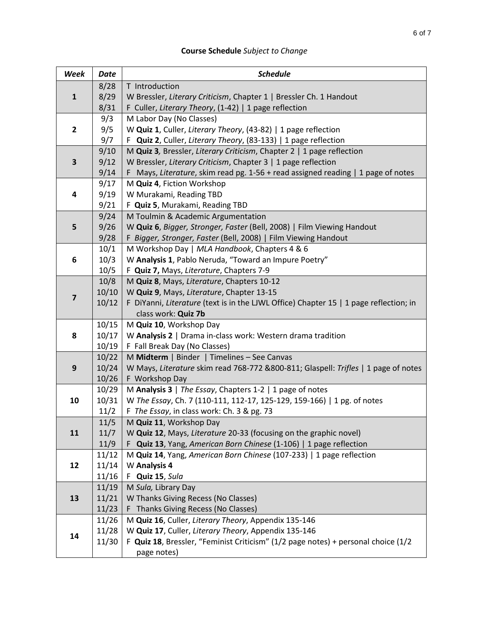# **Course Schedule** *Subject to Change*

| 8/28<br>T Introduction<br>8/29<br>W Bressler, Literary Criticism, Chapter 1   Bressler Ch. 1 Handout<br>${\bf 1}$<br>8/31<br>F Culler, Literary Theory, (1-42)   1 page reflection<br>9/3<br>M Labor Day (No Classes)<br>9/5<br>$\overline{2}$<br>W Quiz 1, Culler, Literary Theory, (43-82)   1 page reflection<br>9/7<br>F Quiz 2, Culler, Literary Theory, (83-133)   1 page reflection<br>9/10<br>M Quiz 3, Bressler, Literary Criticism, Chapter 2   1 page reflection<br>9/12<br>W Bressler, Literary Criticism, Chapter 3   1 page reflection<br>3<br>9/14<br>F Mays, Literature, skim read pg. 1-56 + read assigned reading   1 page of notes<br>9/17<br>M Quiz 4, Fiction Workshop<br>9/19<br>W Murakami, Reading TBD<br>4<br>9/21<br>F Quiz 5, Murakami, Reading TBD<br>9/24<br>M Toulmin & Academic Argumentation<br>5<br>9/26<br>W Quiz 6, Bigger, Stronger, Faster (Bell, 2008)   Film Viewing Handout<br>9/28<br>F Bigger, Stronger, Faster (Bell, 2008)   Film Viewing Handout<br>10/1<br>M Workshop Day   MLA Handbook, Chapters 4 & 6<br>10/3<br>W Analysis 1, Pablo Neruda, "Toward an Impure Poetry"<br>6<br>10/5<br>F Quiz 7, Mays, Literature, Chapters 7-9<br>10/8<br>M Quiz 8, Mays, Literature, Chapters 10-12<br>10/10<br>W Quiz 9, Mays, Literature, Chapter 13-15<br>$\overline{\mathbf{z}}$<br>10/12<br>F DiYanni, Literature (text is in the LJWL Office) Chapter 15   1 page reflection; in<br>class work: Quiz 7b<br>10/15<br>M Quiz 10, Workshop Day<br>10/17<br>W Analysis 2   Drama in-class work: Western drama tradition<br>8<br>10/19<br>F Fall Break Day (No Classes)<br>10/22<br>M Midterm   Binder   Timelines - See Canvas<br>10/24<br>W Mays, Literature skim read 768-772 &800-811; Glaspell: Trifles   1 page of notes<br>9<br>10/26<br>F Workshop Day<br>M Analysis 3   The Essay, Chapters 1-2   1 page of notes<br>10/29<br>10<br>10/31<br>W The Essay, Ch. 7 (110-111, 112-17, 125-129, 159-166)   1 pg. of notes<br>F The Essay, in class work: Ch. 3 & pg. 73<br>11/2<br>11/5<br>M Quiz 11, Workshop Day<br>11<br>11/7<br>W Quiz 12, Mays, Literature 20-33 (focusing on the graphic novel)<br>F Quiz 13, Yang, American Born Chinese (1-106)   1 page reflection<br>11/9<br>M Quiz 14, Yang, American Born Chinese (107-233)   1 page reflection<br>11/12<br>12<br>11/14<br>W Analysis 4<br>11/16<br>F Quiz 15, Sula<br>11/19<br>M Sula, Library Day<br>13<br>11/21<br>W Thanks Giving Recess (No Classes) | Week | <b>Date</b> | <b>Schedule</b>                     |
|---------------------------------------------------------------------------------------------------------------------------------------------------------------------------------------------------------------------------------------------------------------------------------------------------------------------------------------------------------------------------------------------------------------------------------------------------------------------------------------------------------------------------------------------------------------------------------------------------------------------------------------------------------------------------------------------------------------------------------------------------------------------------------------------------------------------------------------------------------------------------------------------------------------------------------------------------------------------------------------------------------------------------------------------------------------------------------------------------------------------------------------------------------------------------------------------------------------------------------------------------------------------------------------------------------------------------------------------------------------------------------------------------------------------------------------------------------------------------------------------------------------------------------------------------------------------------------------------------------------------------------------------------------------------------------------------------------------------------------------------------------------------------------------------------------------------------------------------------------------------------------------------------------------------------------------------------------------------------------------------------------------------------------------------------------------------------------------------------------------------------------------------------------------------------------------------------------------------------------------------------------------------------------------------------------------------------------------------------------------------------------------------------------------------------------------------------------------|------|-------------|-------------------------------------|
|                                                                                                                                                                                                                                                                                                                                                                                                                                                                                                                                                                                                                                                                                                                                                                                                                                                                                                                                                                                                                                                                                                                                                                                                                                                                                                                                                                                                                                                                                                                                                                                                                                                                                                                                                                                                                                                                                                                                                                                                                                                                                                                                                                                                                                                                                                                                                                                                                                                               |      |             |                                     |
|                                                                                                                                                                                                                                                                                                                                                                                                                                                                                                                                                                                                                                                                                                                                                                                                                                                                                                                                                                                                                                                                                                                                                                                                                                                                                                                                                                                                                                                                                                                                                                                                                                                                                                                                                                                                                                                                                                                                                                                                                                                                                                                                                                                                                                                                                                                                                                                                                                                               |      |             |                                     |
|                                                                                                                                                                                                                                                                                                                                                                                                                                                                                                                                                                                                                                                                                                                                                                                                                                                                                                                                                                                                                                                                                                                                                                                                                                                                                                                                                                                                                                                                                                                                                                                                                                                                                                                                                                                                                                                                                                                                                                                                                                                                                                                                                                                                                                                                                                                                                                                                                                                               |      |             |                                     |
|                                                                                                                                                                                                                                                                                                                                                                                                                                                                                                                                                                                                                                                                                                                                                                                                                                                                                                                                                                                                                                                                                                                                                                                                                                                                                                                                                                                                                                                                                                                                                                                                                                                                                                                                                                                                                                                                                                                                                                                                                                                                                                                                                                                                                                                                                                                                                                                                                                                               |      |             |                                     |
|                                                                                                                                                                                                                                                                                                                                                                                                                                                                                                                                                                                                                                                                                                                                                                                                                                                                                                                                                                                                                                                                                                                                                                                                                                                                                                                                                                                                                                                                                                                                                                                                                                                                                                                                                                                                                                                                                                                                                                                                                                                                                                                                                                                                                                                                                                                                                                                                                                                               |      |             |                                     |
|                                                                                                                                                                                                                                                                                                                                                                                                                                                                                                                                                                                                                                                                                                                                                                                                                                                                                                                                                                                                                                                                                                                                                                                                                                                                                                                                                                                                                                                                                                                                                                                                                                                                                                                                                                                                                                                                                                                                                                                                                                                                                                                                                                                                                                                                                                                                                                                                                                                               |      |             |                                     |
|                                                                                                                                                                                                                                                                                                                                                                                                                                                                                                                                                                                                                                                                                                                                                                                                                                                                                                                                                                                                                                                                                                                                                                                                                                                                                                                                                                                                                                                                                                                                                                                                                                                                                                                                                                                                                                                                                                                                                                                                                                                                                                                                                                                                                                                                                                                                                                                                                                                               |      |             |                                     |
|                                                                                                                                                                                                                                                                                                                                                                                                                                                                                                                                                                                                                                                                                                                                                                                                                                                                                                                                                                                                                                                                                                                                                                                                                                                                                                                                                                                                                                                                                                                                                                                                                                                                                                                                                                                                                                                                                                                                                                                                                                                                                                                                                                                                                                                                                                                                                                                                                                                               |      |             |                                     |
|                                                                                                                                                                                                                                                                                                                                                                                                                                                                                                                                                                                                                                                                                                                                                                                                                                                                                                                                                                                                                                                                                                                                                                                                                                                                                                                                                                                                                                                                                                                                                                                                                                                                                                                                                                                                                                                                                                                                                                                                                                                                                                                                                                                                                                                                                                                                                                                                                                                               |      |             |                                     |
|                                                                                                                                                                                                                                                                                                                                                                                                                                                                                                                                                                                                                                                                                                                                                                                                                                                                                                                                                                                                                                                                                                                                                                                                                                                                                                                                                                                                                                                                                                                                                                                                                                                                                                                                                                                                                                                                                                                                                                                                                                                                                                                                                                                                                                                                                                                                                                                                                                                               |      |             |                                     |
|                                                                                                                                                                                                                                                                                                                                                                                                                                                                                                                                                                                                                                                                                                                                                                                                                                                                                                                                                                                                                                                                                                                                                                                                                                                                                                                                                                                                                                                                                                                                                                                                                                                                                                                                                                                                                                                                                                                                                                                                                                                                                                                                                                                                                                                                                                                                                                                                                                                               |      |             |                                     |
|                                                                                                                                                                                                                                                                                                                                                                                                                                                                                                                                                                                                                                                                                                                                                                                                                                                                                                                                                                                                                                                                                                                                                                                                                                                                                                                                                                                                                                                                                                                                                                                                                                                                                                                                                                                                                                                                                                                                                                                                                                                                                                                                                                                                                                                                                                                                                                                                                                                               |      |             |                                     |
|                                                                                                                                                                                                                                                                                                                                                                                                                                                                                                                                                                                                                                                                                                                                                                                                                                                                                                                                                                                                                                                                                                                                                                                                                                                                                                                                                                                                                                                                                                                                                                                                                                                                                                                                                                                                                                                                                                                                                                                                                                                                                                                                                                                                                                                                                                                                                                                                                                                               |      |             |                                     |
|                                                                                                                                                                                                                                                                                                                                                                                                                                                                                                                                                                                                                                                                                                                                                                                                                                                                                                                                                                                                                                                                                                                                                                                                                                                                                                                                                                                                                                                                                                                                                                                                                                                                                                                                                                                                                                                                                                                                                                                                                                                                                                                                                                                                                                                                                                                                                                                                                                                               |      |             |                                     |
|                                                                                                                                                                                                                                                                                                                                                                                                                                                                                                                                                                                                                                                                                                                                                                                                                                                                                                                                                                                                                                                                                                                                                                                                                                                                                                                                                                                                                                                                                                                                                                                                                                                                                                                                                                                                                                                                                                                                                                                                                                                                                                                                                                                                                                                                                                                                                                                                                                                               |      |             |                                     |
|                                                                                                                                                                                                                                                                                                                                                                                                                                                                                                                                                                                                                                                                                                                                                                                                                                                                                                                                                                                                                                                                                                                                                                                                                                                                                                                                                                                                                                                                                                                                                                                                                                                                                                                                                                                                                                                                                                                                                                                                                                                                                                                                                                                                                                                                                                                                                                                                                                                               |      |             |                                     |
|                                                                                                                                                                                                                                                                                                                                                                                                                                                                                                                                                                                                                                                                                                                                                                                                                                                                                                                                                                                                                                                                                                                                                                                                                                                                                                                                                                                                                                                                                                                                                                                                                                                                                                                                                                                                                                                                                                                                                                                                                                                                                                                                                                                                                                                                                                                                                                                                                                                               |      |             |                                     |
|                                                                                                                                                                                                                                                                                                                                                                                                                                                                                                                                                                                                                                                                                                                                                                                                                                                                                                                                                                                                                                                                                                                                                                                                                                                                                                                                                                                                                                                                                                                                                                                                                                                                                                                                                                                                                                                                                                                                                                                                                                                                                                                                                                                                                                                                                                                                                                                                                                                               |      |             |                                     |
|                                                                                                                                                                                                                                                                                                                                                                                                                                                                                                                                                                                                                                                                                                                                                                                                                                                                                                                                                                                                                                                                                                                                                                                                                                                                                                                                                                                                                                                                                                                                                                                                                                                                                                                                                                                                                                                                                                                                                                                                                                                                                                                                                                                                                                                                                                                                                                                                                                                               |      |             |                                     |
|                                                                                                                                                                                                                                                                                                                                                                                                                                                                                                                                                                                                                                                                                                                                                                                                                                                                                                                                                                                                                                                                                                                                                                                                                                                                                                                                                                                                                                                                                                                                                                                                                                                                                                                                                                                                                                                                                                                                                                                                                                                                                                                                                                                                                                                                                                                                                                                                                                                               |      |             |                                     |
|                                                                                                                                                                                                                                                                                                                                                                                                                                                                                                                                                                                                                                                                                                                                                                                                                                                                                                                                                                                                                                                                                                                                                                                                                                                                                                                                                                                                                                                                                                                                                                                                                                                                                                                                                                                                                                                                                                                                                                                                                                                                                                                                                                                                                                                                                                                                                                                                                                                               |      |             |                                     |
|                                                                                                                                                                                                                                                                                                                                                                                                                                                                                                                                                                                                                                                                                                                                                                                                                                                                                                                                                                                                                                                                                                                                                                                                                                                                                                                                                                                                                                                                                                                                                                                                                                                                                                                                                                                                                                                                                                                                                                                                                                                                                                                                                                                                                                                                                                                                                                                                                                                               |      |             |                                     |
|                                                                                                                                                                                                                                                                                                                                                                                                                                                                                                                                                                                                                                                                                                                                                                                                                                                                                                                                                                                                                                                                                                                                                                                                                                                                                                                                                                                                                                                                                                                                                                                                                                                                                                                                                                                                                                                                                                                                                                                                                                                                                                                                                                                                                                                                                                                                                                                                                                                               |      |             |                                     |
|                                                                                                                                                                                                                                                                                                                                                                                                                                                                                                                                                                                                                                                                                                                                                                                                                                                                                                                                                                                                                                                                                                                                                                                                                                                                                                                                                                                                                                                                                                                                                                                                                                                                                                                                                                                                                                                                                                                                                                                                                                                                                                                                                                                                                                                                                                                                                                                                                                                               |      |             |                                     |
|                                                                                                                                                                                                                                                                                                                                                                                                                                                                                                                                                                                                                                                                                                                                                                                                                                                                                                                                                                                                                                                                                                                                                                                                                                                                                                                                                                                                                                                                                                                                                                                                                                                                                                                                                                                                                                                                                                                                                                                                                                                                                                                                                                                                                                                                                                                                                                                                                                                               |      |             |                                     |
|                                                                                                                                                                                                                                                                                                                                                                                                                                                                                                                                                                                                                                                                                                                                                                                                                                                                                                                                                                                                                                                                                                                                                                                                                                                                                                                                                                                                                                                                                                                                                                                                                                                                                                                                                                                                                                                                                                                                                                                                                                                                                                                                                                                                                                                                                                                                                                                                                                                               |      |             |                                     |
|                                                                                                                                                                                                                                                                                                                                                                                                                                                                                                                                                                                                                                                                                                                                                                                                                                                                                                                                                                                                                                                                                                                                                                                                                                                                                                                                                                                                                                                                                                                                                                                                                                                                                                                                                                                                                                                                                                                                                                                                                                                                                                                                                                                                                                                                                                                                                                                                                                                               |      |             |                                     |
|                                                                                                                                                                                                                                                                                                                                                                                                                                                                                                                                                                                                                                                                                                                                                                                                                                                                                                                                                                                                                                                                                                                                                                                                                                                                                                                                                                                                                                                                                                                                                                                                                                                                                                                                                                                                                                                                                                                                                                                                                                                                                                                                                                                                                                                                                                                                                                                                                                                               |      |             |                                     |
|                                                                                                                                                                                                                                                                                                                                                                                                                                                                                                                                                                                                                                                                                                                                                                                                                                                                                                                                                                                                                                                                                                                                                                                                                                                                                                                                                                                                                                                                                                                                                                                                                                                                                                                                                                                                                                                                                                                                                                                                                                                                                                                                                                                                                                                                                                                                                                                                                                                               |      |             |                                     |
|                                                                                                                                                                                                                                                                                                                                                                                                                                                                                                                                                                                                                                                                                                                                                                                                                                                                                                                                                                                                                                                                                                                                                                                                                                                                                                                                                                                                                                                                                                                                                                                                                                                                                                                                                                                                                                                                                                                                                                                                                                                                                                                                                                                                                                                                                                                                                                                                                                                               |      |             |                                     |
|                                                                                                                                                                                                                                                                                                                                                                                                                                                                                                                                                                                                                                                                                                                                                                                                                                                                                                                                                                                                                                                                                                                                                                                                                                                                                                                                                                                                                                                                                                                                                                                                                                                                                                                                                                                                                                                                                                                                                                                                                                                                                                                                                                                                                                                                                                                                                                                                                                                               |      |             |                                     |
|                                                                                                                                                                                                                                                                                                                                                                                                                                                                                                                                                                                                                                                                                                                                                                                                                                                                                                                                                                                                                                                                                                                                                                                                                                                                                                                                                                                                                                                                                                                                                                                                                                                                                                                                                                                                                                                                                                                                                                                                                                                                                                                                                                                                                                                                                                                                                                                                                                                               |      |             |                                     |
|                                                                                                                                                                                                                                                                                                                                                                                                                                                                                                                                                                                                                                                                                                                                                                                                                                                                                                                                                                                                                                                                                                                                                                                                                                                                                                                                                                                                                                                                                                                                                                                                                                                                                                                                                                                                                                                                                                                                                                                                                                                                                                                                                                                                                                                                                                                                                                                                                                                               |      |             |                                     |
|                                                                                                                                                                                                                                                                                                                                                                                                                                                                                                                                                                                                                                                                                                                                                                                                                                                                                                                                                                                                                                                                                                                                                                                                                                                                                                                                                                                                                                                                                                                                                                                                                                                                                                                                                                                                                                                                                                                                                                                                                                                                                                                                                                                                                                                                                                                                                                                                                                                               |      |             |                                     |
|                                                                                                                                                                                                                                                                                                                                                                                                                                                                                                                                                                                                                                                                                                                                                                                                                                                                                                                                                                                                                                                                                                                                                                                                                                                                                                                                                                                                                                                                                                                                                                                                                                                                                                                                                                                                                                                                                                                                                                                                                                                                                                                                                                                                                                                                                                                                                                                                                                                               |      |             |                                     |
|                                                                                                                                                                                                                                                                                                                                                                                                                                                                                                                                                                                                                                                                                                                                                                                                                                                                                                                                                                                                                                                                                                                                                                                                                                                                                                                                                                                                                                                                                                                                                                                                                                                                                                                                                                                                                                                                                                                                                                                                                                                                                                                                                                                                                                                                                                                                                                                                                                                               |      |             |                                     |
|                                                                                                                                                                                                                                                                                                                                                                                                                                                                                                                                                                                                                                                                                                                                                                                                                                                                                                                                                                                                                                                                                                                                                                                                                                                                                                                                                                                                                                                                                                                                                                                                                                                                                                                                                                                                                                                                                                                                                                                                                                                                                                                                                                                                                                                                                                                                                                                                                                                               |      |             |                                     |
|                                                                                                                                                                                                                                                                                                                                                                                                                                                                                                                                                                                                                                                                                                                                                                                                                                                                                                                                                                                                                                                                                                                                                                                                                                                                                                                                                                                                                                                                                                                                                                                                                                                                                                                                                                                                                                                                                                                                                                                                                                                                                                                                                                                                                                                                                                                                                                                                                                                               |      |             |                                     |
|                                                                                                                                                                                                                                                                                                                                                                                                                                                                                                                                                                                                                                                                                                                                                                                                                                                                                                                                                                                                                                                                                                                                                                                                                                                                                                                                                                                                                                                                                                                                                                                                                                                                                                                                                                                                                                                                                                                                                                                                                                                                                                                                                                                                                                                                                                                                                                                                                                                               |      | 11/23       | F Thanks Giving Recess (No Classes) |
| 11/26<br>M Quiz 16, Culler, Literary Theory, Appendix 135-146                                                                                                                                                                                                                                                                                                                                                                                                                                                                                                                                                                                                                                                                                                                                                                                                                                                                                                                                                                                                                                                                                                                                                                                                                                                                                                                                                                                                                                                                                                                                                                                                                                                                                                                                                                                                                                                                                                                                                                                                                                                                                                                                                                                                                                                                                                                                                                                                 |      |             |                                     |
| 11/28<br>W Quiz 17, Culler, Literary Theory, Appendix 135-146                                                                                                                                                                                                                                                                                                                                                                                                                                                                                                                                                                                                                                                                                                                                                                                                                                                                                                                                                                                                                                                                                                                                                                                                                                                                                                                                                                                                                                                                                                                                                                                                                                                                                                                                                                                                                                                                                                                                                                                                                                                                                                                                                                                                                                                                                                                                                                                                 | 14   |             |                                     |
| 11/30<br>F Quiz 18, Bressler, "Feminist Criticism" (1/2 page notes) + personal choice (1/2                                                                                                                                                                                                                                                                                                                                                                                                                                                                                                                                                                                                                                                                                                                                                                                                                                                                                                                                                                                                                                                                                                                                                                                                                                                                                                                                                                                                                                                                                                                                                                                                                                                                                                                                                                                                                                                                                                                                                                                                                                                                                                                                                                                                                                                                                                                                                                    |      |             |                                     |
| page notes)                                                                                                                                                                                                                                                                                                                                                                                                                                                                                                                                                                                                                                                                                                                                                                                                                                                                                                                                                                                                                                                                                                                                                                                                                                                                                                                                                                                                                                                                                                                                                                                                                                                                                                                                                                                                                                                                                                                                                                                                                                                                                                                                                                                                                                                                                                                                                                                                                                                   |      |             |                                     |